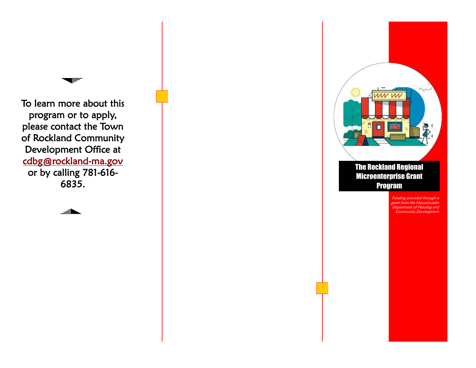To learn more about this program or to apply, please contact the Town of Rockland Community Development Office at [cdbg@rockland](mailto:cdbg@rockland-ma.gov) -ma.gov or by calling 781 -616 - 6835.

═





Funding provided through a grant from the Massachusetts Department of Housing and Community Development